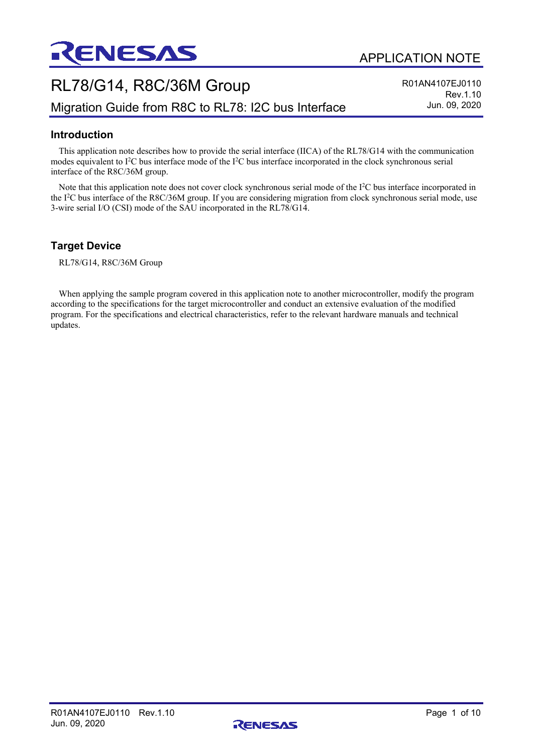

# RL78/G14, R8C/36M Group Migration Guide from R8C to RL78: I2C bus Interface

R01AN4107EJ0110 Rev.1.10 Jun. 09, 2020

## **Introduction**

This application note describes how to provide the serial interface (IICA) of the RL78/G14 with the communication modes equivalent to I<sup>2</sup>C bus interface mode of the I<sup>2</sup>C bus interface incorporated in the clock synchronous serial interface of the R8C/36M group.

Note that this application note does not cover clock synchronous serial mode of the I<sup>2</sup>C bus interface incorporated in the I 2 C bus interface of the R8C/36M group. If you are considering migration from clock synchronous serial mode, use 3-wire serial I/O (CSI) mode of the SAU incorporated in the RL78/G14.

## **Target Device**

RL78/G14, R8C/36M Group

When applying the sample program covered in this application note to another microcontroller, modify the program according to the specifications for the target microcontroller and conduct an extensive evaluation of the modified program. For the specifications and electrical characteristics, refer to the relevant hardware manuals and technical updates.

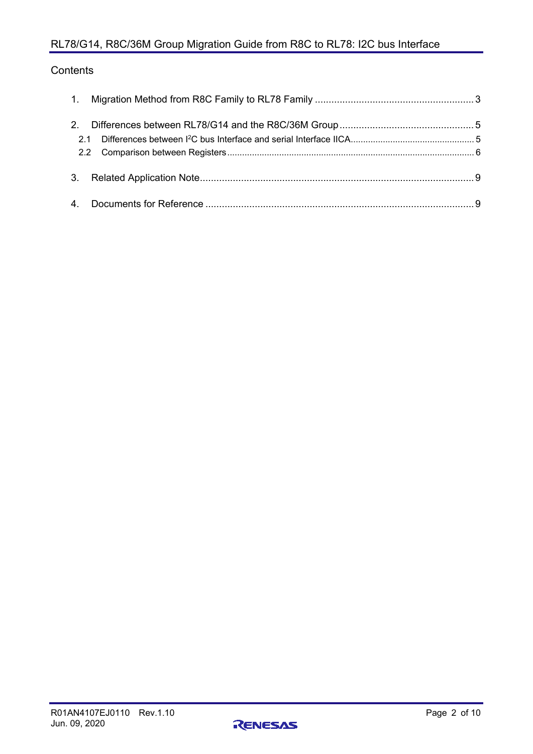## RL78/G14, R8C/36M Group Migration Guide from R8C to RL78: I2C bus Interface

## **Contents**

| 2.1 |  |
|-----|--|
|     |  |
|     |  |

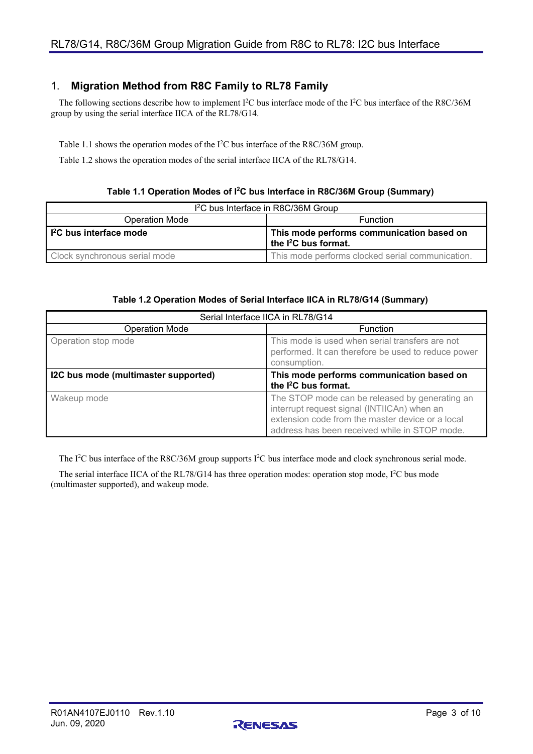## <span id="page-2-0"></span>1. **Migration Method from R8C Family to RL78 Family**

The following sections describe how to implement  $I^2C$  bus interface mode of the  $I^2C$  bus interface of the R8C/36M group by using the serial interface IICA of the RL78/G14.

[Table 1.1](#page-2-1) shows the operation modes of the I 2 C bus interface of the R8C/36M group.

[Table 1.2](#page-2-2) shows the operation modes of the serial interface IICA of the RL78/G14.

#### **Table 1.1 Operation Modes of I2C bus Interface in R8C/36M Group (Summary)**

<span id="page-2-1"></span>

| 1 <sup>2</sup> C bus Interface in R8C/36M Group |                                                                               |  |
|-------------------------------------------------|-------------------------------------------------------------------------------|--|
| <b>Operation Mode</b>                           | <b>Function</b>                                                               |  |
| I <sup>2</sup> C bus interface mode             | This mode performs communication based on<br>the I <sup>2</sup> C bus format. |  |
| Clock synchronous serial mode                   | This mode performs clocked serial communication.                              |  |

#### **Table 1.2 Operation Modes of Serial Interface IICA in RL78/G14 (Summary)**

<span id="page-2-2"></span>

| Serial Interface IICA in RL78/G14    |                                                                                                                                                                                                    |  |
|--------------------------------------|----------------------------------------------------------------------------------------------------------------------------------------------------------------------------------------------------|--|
| <b>Operation Mode</b>                | <b>Function</b>                                                                                                                                                                                    |  |
| Operation stop mode                  | This mode is used when serial transfers are not<br>performed. It can therefore be used to reduce power<br>consumption.                                                                             |  |
| I2C bus mode (multimaster supported) | This mode performs communication based on<br>the <sup>2</sup> C bus format.                                                                                                                        |  |
| Wakeup mode                          | The STOP mode can be released by generating an<br>interrupt request signal (INTIICAn) when an<br>extension code from the master device or a local<br>address has been received while in STOP mode. |  |

The I<sup>2</sup>C bus interface of the R8C/36M group supports I<sup>2</sup>C bus interface mode and clock synchronous serial mode.

The serial interface IICA of the RL78/G14 has three operation modes: operation stop mode, I<sup>2</sup>C bus mode (multimaster supported), and wakeup mode.

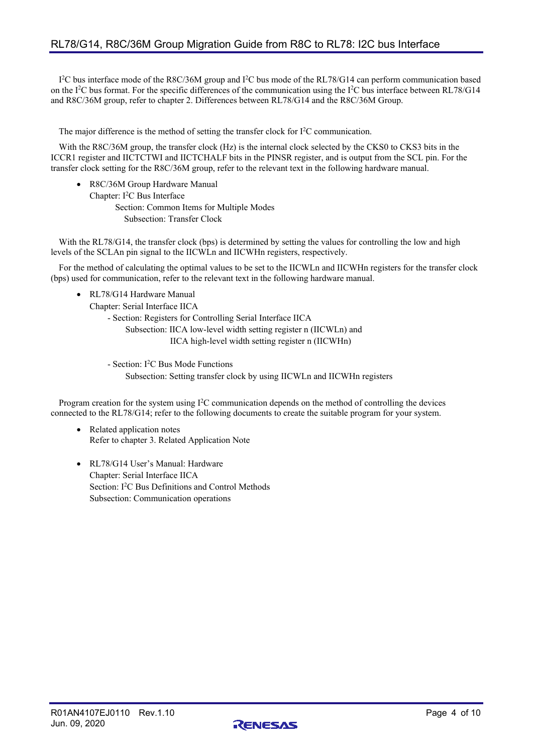I<sup>2</sup>C bus interface mode of the R8C/36M group and I<sup>2</sup>C bus mode of the RL78/G14 can perform communication based on the I<sup>2</sup>C bus format. For the specific differences of the communication using the I<sup>2</sup>C bus interface between RL78/G14 and R8C/36M group, refer to chapter [2.](#page-4-0) [Differences between RL78/G14 and the R8C/36M](#page-4-0) Group.

The major difference is the method of setting the transfer clock for I<sup>2</sup>C communication.

With the R8C/36M group, the transfer clock (Hz) is the internal clock selected by the CKS0 to CKS3 bits in the ICCR1 register and IICTCTWI and IICTCHALF bits in the PINSR register, and is output from the SCL pin. For the transfer clock setting for the R8C/36M group, refer to the relevant text in the following hardware manual.

• R8C/36M Group Hardware Manual Chapter: I 2 C Bus Interface Section: Common Items for Multiple Modes Subsection: Transfer Clock

With the RL78/G14, the transfer clock (bps) is determined by setting the values for controlling the low and high levels of the SCLAn pin signal to the IICWLn and IICWHn registers, respectively.

For the method of calculating the optimal values to be set to the IICWLn and IICWHn registers for the transfer clock (bps) used for communication, refer to the relevant text in the following hardware manual.

• RL78/G14 Hardware Manual

Chapter: Serial Interface IICA

- Section: Registers for Controlling Serial Interface IICA

 Subsection: IICA low-level width setting register n (IICWLn) and IICA high-level width setting register n (IICWHn)

 - Section: I 2 C Bus Mode Functions Subsection: Setting transfer clock by using IICWLn and IICWHn registers

Program creation for the system using  $1^2C$  communication depends on the method of controlling the devices connected to the RL78/G14; refer to the following documents to create the suitable program for your system.

- Related application notes Refer to chapter [3.](#page-8-0) [Related Application Note](#page-8-0)
- RL78/G14 User's Manual: Hardware Chapter: Serial Interface IICA Section: I<sup>2</sup>C Bus Definitions and Control Methods Subsection: Communication operations

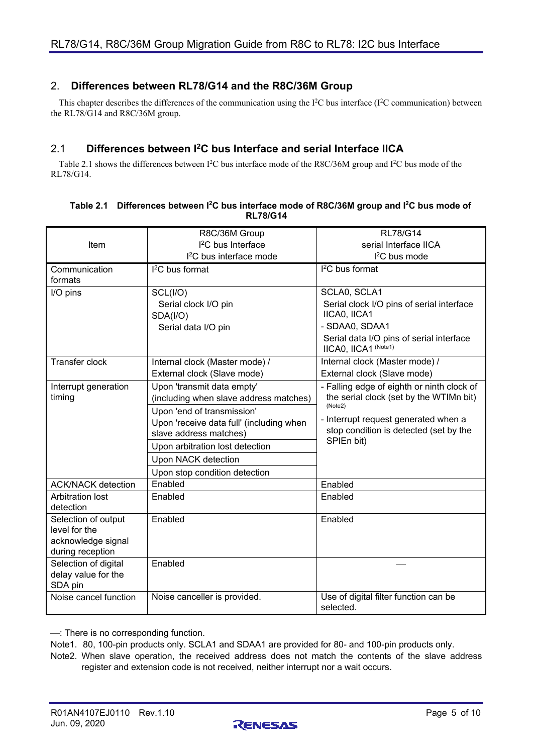## <span id="page-4-0"></span>2. **Differences between RL78/G14 and the R8C/36M Group**

This chapter describes the differences of the communication using the I<sup>2</sup>C bus interface (I<sup>2</sup>C communication) between the RL78/G14 and R8C/36M group.

## <span id="page-4-1"></span>2.1 **Differences between I2C bus Interface and serial Interface IICA**

[Table 2.1](#page-4-2) shows the differences between  $I^2C$  bus interface mode of the R8C/36M group and  $I^2C$  bus mode of the RL78/G14.

|                                        | R8C/36M Group                            | <b>RL78/G14</b>                                                  |  |
|----------------------------------------|------------------------------------------|------------------------------------------------------------------|--|
| Item                                   | $l^2C$ bus Interface                     | serial Interface IICA                                            |  |
|                                        | I <sup>2</sup> C bus interface mode      | $l^2C$ bus mode                                                  |  |
| Communication                          | $12$ C bus format                        | $I2C$ bus format                                                 |  |
| formats                                |                                          |                                                                  |  |
| I/O pins                               | SCL(I/O)                                 | SCLA0, SCLA1                                                     |  |
|                                        | Serial clock I/O pin                     | Serial clock I/O pins of serial interface                        |  |
|                                        | SDA(I/O)                                 | IICA0, IICA1                                                     |  |
|                                        | Serial data I/O pin                      | - SDAA0, SDAA1                                                   |  |
|                                        |                                          | Serial data I/O pins of serial interface<br>IICA0, IICA1 (Note1) |  |
| <b>Transfer clock</b>                  | Internal clock (Master mode) /           | Internal clock (Master mode) /                                   |  |
|                                        | External clock (Slave mode)              | External clock (Slave mode)                                      |  |
| Interrupt generation                   | Upon 'transmit data empty'               | - Falling edge of eighth or ninth clock of                       |  |
| timing                                 | (including when slave address matches)   | the serial clock (set by the WTIMn bit)                          |  |
|                                        | Upon 'end of transmission'               | (Note2)                                                          |  |
|                                        | Upon 'receive data full' (including when | - Interrupt request generated when a                             |  |
|                                        | slave address matches)                   | stop condition is detected (set by the<br>SPIEn bit)             |  |
|                                        | Upon arbitration lost detection          |                                                                  |  |
|                                        | Upon NACK detection                      |                                                                  |  |
|                                        | Upon stop condition detection            |                                                                  |  |
| <b>ACK/NACK</b> detection              | Enabled                                  | Enabled                                                          |  |
| <b>Arbitration lost</b>                | Enabled                                  | Enabled                                                          |  |
| detection                              |                                          |                                                                  |  |
| Selection of output                    | Enabled                                  | Enabled                                                          |  |
| level for the                          |                                          |                                                                  |  |
| acknowledge signal<br>during reception |                                          |                                                                  |  |
| Selection of digital                   | Enabled                                  |                                                                  |  |
| delay value for the                    |                                          |                                                                  |  |
| SDA pin                                |                                          |                                                                  |  |
| Noise cancel function                  | Noise canceller is provided.             | Use of digital filter function can be<br>selected.               |  |

#### <span id="page-4-2"></span>**Table 2.1 Differences between I 2C bus interface mode of R8C/36M group and I 2C bus mode of RL78/G14**

: There is no corresponding function.

Note1. 80, 100-pin products only. SCLA1 and SDAA1 are provided for 80- and 100-pin products only.

Note2. When slave operation, the received address does not match the contents of the slave address register and extension code is not received, neither interrupt nor a wait occurs.

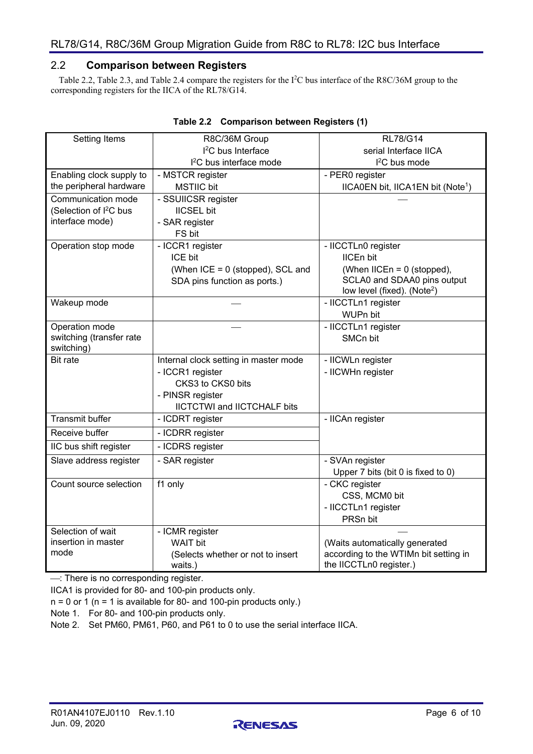## <span id="page-5-0"></span>2.2 **Comparison between Registers**

[Table 2.2,](#page-5-1) [Table 2.3,](#page-6-0) and [Table 2.4](#page-7-0) compare the registers for the I<sup>2</sup>C bus interface of the R8C/36M group to the corresponding registers for the IICA of the RL78/G14.

<span id="page-5-1"></span>

| Setting Items<br>R8C/36M Group               |                                       | <b>RL78/G14</b>                               |  |
|----------------------------------------------|---------------------------------------|-----------------------------------------------|--|
|                                              | <sup>2</sup> C bus Interface          | serial Interface IICA                         |  |
|                                              | I <sup>2</sup> C bus interface mode   | I <sup>2</sup> C bus mode                     |  |
| Enabling clock supply to<br>- MSTCR register |                                       | - PER0 register                               |  |
| the peripheral hardware<br><b>MSTIIC</b> bit |                                       | IICA0EN bit, IICA1EN bit (Note <sup>1</sup> ) |  |
| Communication mode                           | - SSUIICSR register                   |                                               |  |
| (Selection of I <sup>2</sup> C bus           | <b>IICSEL bit</b>                     |                                               |  |
| interface mode)                              | - SAR register                        |                                               |  |
|                                              | FS bit                                |                                               |  |
| Operation stop mode                          | - ICCR1 register                      | - IICCTLn0 register                           |  |
|                                              | ICE bit                               | <b>IICEn bit</b>                              |  |
|                                              | (When ICE = 0 (stopped), SCL and      | (When $IICEn = 0$ (stopped),                  |  |
|                                              | SDA pins function as ports.)          | SCLA0 and SDAA0 pins output                   |  |
|                                              |                                       | low level (fixed). (Note <sup>2</sup> )       |  |
| Wakeup mode                                  |                                       | - IICCTLn1 register                           |  |
|                                              |                                       | WUPn bit                                      |  |
| Operation mode                               |                                       | - IICCTLn1 register                           |  |
| switching (transfer rate                     |                                       | <b>SMCn bit</b>                               |  |
| switching)                                   |                                       |                                               |  |
| <b>Bit rate</b>                              | Internal clock setting in master mode | - IICWLn register                             |  |
|                                              | - ICCR1 register                      | - IICWHn register                             |  |
|                                              | CKS3 to CKS0 bits                     |                                               |  |
|                                              | - PINSR register                      |                                               |  |
|                                              | <b>IICTCTWI</b> and IICTCHALF bits    |                                               |  |
| <b>Transmit buffer</b>                       | - ICDRT register                      | - IICAn register                              |  |
| Receive buffer                               | - ICDRR register                      |                                               |  |
| IIC bus shift register                       | - ICDRS register                      |                                               |  |
| Slave address register                       | - SAR register                        | - SVAn register                               |  |
|                                              |                                       | Upper 7 bits (bit 0 is fixed to 0)            |  |
| Count source selection                       | f1 only                               | - CKC register                                |  |
|                                              |                                       | CSS, MCM0 bit                                 |  |
|                                              |                                       | - IICCTLn1 register                           |  |
|                                              |                                       | PRSn bit                                      |  |
| Selection of wait                            | - ICMR register                       |                                               |  |
| insertion in master                          | <b>WAIT bit</b>                       | (Waits automatically generated                |  |
| mode                                         | (Selects whether or not to insert     | according to the WTIMn bit setting in         |  |
|                                              | waits.)                               | the IICCTLn0 register.)                       |  |

#### **Table 2.2 Comparison between Registers (1)**

-: There is no corresponding register.

IICA1 is provided for 80- and 100-pin products only.

 $n = 0$  or 1 ( $n = 1$  is available for 80- and 100-pin products only.)

Note 1. For 80- and 100-pin products only.

Note 2. Set PM60, PM61, P60, and P61 to 0 to use the serial interface IICA.

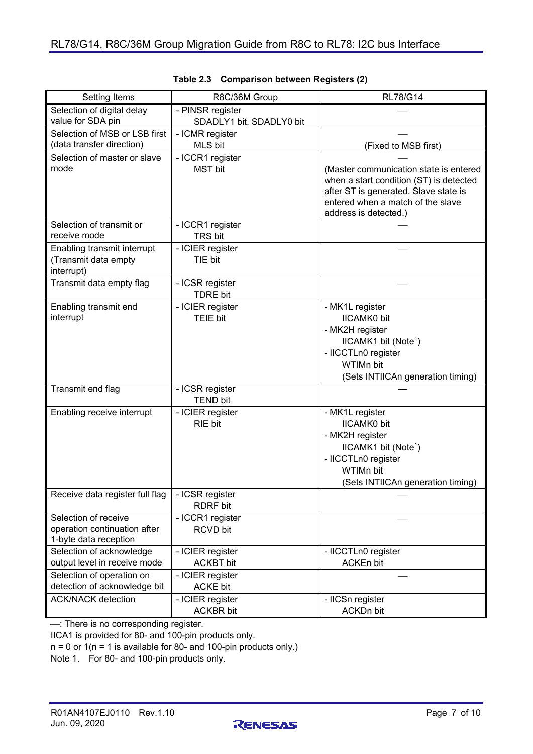<span id="page-6-0"></span>

| Setting Items                                                     | R8C/36M Group                      | <b>RL78/G14</b>                                                                                                                                                                          |  |
|-------------------------------------------------------------------|------------------------------------|------------------------------------------------------------------------------------------------------------------------------------------------------------------------------------------|--|
| Selection of digital delay                                        | - PINSR register                   |                                                                                                                                                                                          |  |
| value for SDA pin                                                 | SDADLY1 bit, SDADLY0 bit           |                                                                                                                                                                                          |  |
| Selection of MSB or LSB first                                     | - ICMR register                    |                                                                                                                                                                                          |  |
| (data transfer direction)                                         | MLS bit                            | (Fixed to MSB first)                                                                                                                                                                     |  |
| Selection of master or slave                                      | - ICCR1 register                   |                                                                                                                                                                                          |  |
| mode                                                              | <b>MST</b> bit                     | (Master communication state is entered<br>when a start condition (ST) is detected<br>after ST is generated. Slave state is<br>entered when a match of the slave<br>address is detected.) |  |
| Selection of transmit or                                          | - ICCR1 register                   |                                                                                                                                                                                          |  |
| receive mode                                                      | <b>TRS bit</b>                     |                                                                                                                                                                                          |  |
| Enabling transmit interrupt<br>(Transmit data empty<br>interrupt) | - ICIER register<br>TIE bit        |                                                                                                                                                                                          |  |
| Transmit data empty flag                                          | - ICSR register<br><b>TDRE bit</b> |                                                                                                                                                                                          |  |
| Enabling transmit end                                             | - ICIER register                   | - MK1L register                                                                                                                                                                          |  |
| interrupt                                                         | TEIE bit                           | <b>IICAMK0</b> bit                                                                                                                                                                       |  |
|                                                                   |                                    | - MK2H register                                                                                                                                                                          |  |
|                                                                   |                                    | IICAMK1 bit (Note <sup>1</sup> )                                                                                                                                                         |  |
|                                                                   |                                    | - IICCTLn0 register                                                                                                                                                                      |  |
|                                                                   |                                    | WTIMn bit                                                                                                                                                                                |  |
|                                                                   |                                    | (Sets INTIICAn generation timing)                                                                                                                                                        |  |
| Transmit end flag                                                 | - ICSR register<br><b>TEND bit</b> |                                                                                                                                                                                          |  |
| Enabling receive interrupt                                        | - ICIER register                   | - MK1L register                                                                                                                                                                          |  |
|                                                                   | RIE bit                            | <b>IICAMK0</b> bit                                                                                                                                                                       |  |
|                                                                   |                                    | - MK2H register                                                                                                                                                                          |  |
|                                                                   |                                    | IICAMK1 bit (Note <sup>1</sup> )                                                                                                                                                         |  |
|                                                                   |                                    | - IICCTLn0 register                                                                                                                                                                      |  |
|                                                                   |                                    | WTIMn bit                                                                                                                                                                                |  |
|                                                                   |                                    | (Sets INTIICAn generation timing)                                                                                                                                                        |  |
| Receive data register full flag                                   | - ICSR register<br><b>RDRF</b> bit |                                                                                                                                                                                          |  |
| Selection of receive                                              | - ICCR1 register                   |                                                                                                                                                                                          |  |
| operation continuation after                                      | <b>RCVD bit</b>                    |                                                                                                                                                                                          |  |
| 1-byte data reception                                             |                                    |                                                                                                                                                                                          |  |
| Selection of acknowledge                                          | - ICIER register                   | - IICCTLn0 register                                                                                                                                                                      |  |
| output level in receive mode                                      | <b>ACKBT</b> bit                   | <b>ACKEn bit</b>                                                                                                                                                                         |  |
| Selection of operation on                                         | - ICIER register                   |                                                                                                                                                                                          |  |
| detection of acknowledge bit                                      | <b>ACKE bit</b>                    |                                                                                                                                                                                          |  |
| <b>ACK/NACK</b> detection                                         | - ICIER register                   | - IICSn register                                                                                                                                                                         |  |
|                                                                   | <b>ACKBR bit</b>                   | <b>ACKDn bit</b>                                                                                                                                                                         |  |

|  | Table 2.3 Comparison between Registers (2) |  |  |  |
|--|--------------------------------------------|--|--|--|
|--|--------------------------------------------|--|--|--|

-: There is no corresponding register.

IICA1 is provided for 80- and 100-pin products only.

 $n = 0$  or  $1(n = 1$  is available for 80- and 100-pin products only.)

Note 1. For 80- and 100-pin products only.

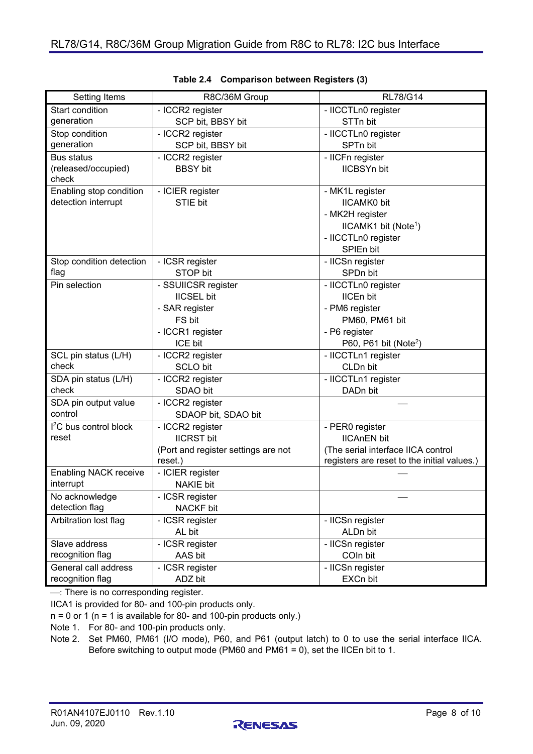<span id="page-7-0"></span>

| Setting Items                      | R8C/36M Group                       | <b>RL78/G14</b>                             |
|------------------------------------|-------------------------------------|---------------------------------------------|
| Start condition                    | - ICCR2 register                    | - IICCTLn0 register                         |
| generation                         | SCP bit, BBSY bit                   | STTn bit                                    |
| Stop condition                     | - ICCR2 register                    | - IICCTLn0 register                         |
| generation                         | SCP bit, BBSY bit                   | SPTn bit                                    |
| <b>Bus status</b>                  | - ICCR2 register                    | - IICFn register                            |
| (released/occupied)                | <b>BBSY</b> bit                     | <b>IICBSYn bit</b>                          |
| check                              |                                     |                                             |
| Enabling stop condition            | - ICIER register                    | - MK1L register                             |
| detection interrupt                | STIE bit                            | <b>IICAMK0</b> bit                          |
|                                    |                                     | - MK2H register                             |
|                                    |                                     | IICAMK1 bit (Note <sup>1</sup> )            |
|                                    |                                     | - IICCTLn0 register                         |
|                                    |                                     | SPIEn bit                                   |
| Stop condition detection           | - ICSR register                     | - IICSn register                            |
| flag                               | STOP bit                            | SPDn bit                                    |
| Pin selection                      | - SSUIICSR register                 | - IICCTLn0 register                         |
|                                    | <b>IICSEL bit</b>                   | <b>IICEn bit</b>                            |
|                                    | - SAR register                      | - PM6 register                              |
|                                    | FS bit                              | PM60, PM61 bit                              |
|                                    | - ICCR1 register                    | - P6 register                               |
|                                    | ICE bit                             | P60, P61 bit (Note <sup>2</sup> )           |
| SCL pin status (L/H)               | - ICCR2 register                    | - IICCTLn1 register                         |
| check                              | <b>SCLO bit</b>                     | CLDn bit                                    |
| SDA pin status (L/H)               | - ICCR2 register                    | - IICCTLn1 register                         |
| check                              | SDAO bit                            | DADn bit                                    |
| SDA pin output value               | - ICCR2 register                    |                                             |
| control                            | SDAOP bit, SDAO bit                 |                                             |
| I <sup>2</sup> C bus control block | - ICCR2 register                    | - PER0 register                             |
| reset                              | <b>IICRST bit</b>                   | <b>IICAnEN</b> bit                          |
|                                    | (Port and register settings are not | (The serial interface IICA control          |
|                                    | reset.)                             | registers are reset to the initial values.) |
| <b>Enabling NACK receive</b>       | - ICIER register                    |                                             |
| interrupt                          | <b>NAKIE</b> bit                    |                                             |
| No acknowledge                     | - ICSR register                     |                                             |
| detection flag                     | NACKF bit                           |                                             |
| Arbitration lost flag              | - ICSR register                     | - IICSn register                            |
|                                    | AL bit                              | ALDn bit                                    |
| Slave address                      | - ICSR register                     | - IICSn register                            |
| recognition flag                   | AAS bit                             | COIn bit                                    |
| General call address               | - ICSR register                     | - IICSn register                            |
| recognition flag                   | ADZ bit                             | EXCn bit                                    |

|  | Table 2.4 Comparison between Registers (3) |  |  |  |
|--|--------------------------------------------|--|--|--|
|--|--------------------------------------------|--|--|--|

 $\overline{-}$ : There is no corresponding register.

IICA1 is provided for 80- and 100-pin products only.

 $n = 0$  or 1 ( $n = 1$  is available for 80- and 100-pin products only.)

Note 1. For 80- and 100-pin products only.

Note 2. Set PM60, PM61 (I/O mode), P60, and P61 (output latch) to 0 to use the serial interface IICA. Before switching to output mode (PM60 and PM61 = 0), set the IICEn bit to 1.

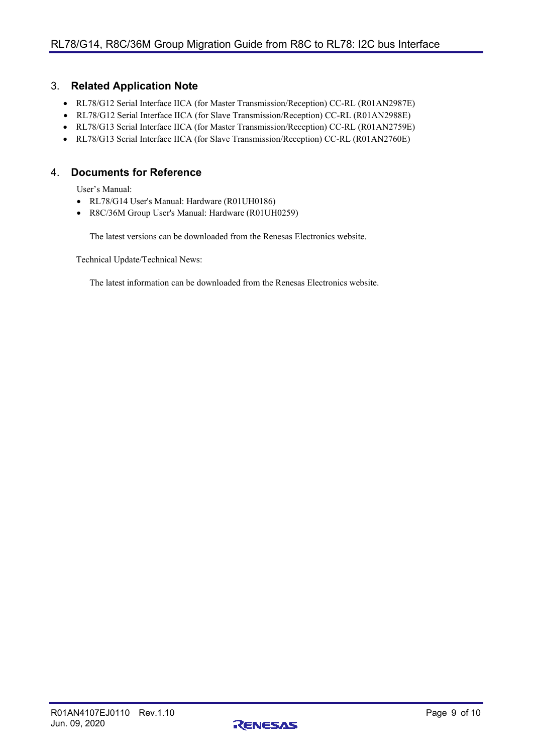## <span id="page-8-0"></span>3. **Related Application Note**

- RL78/G12 Serial Interface IICA (for Master Transmission/Reception) CC-RL (R01AN2987E)
- RL78/G12 Serial Interface IICA (for Slave Transmission/Reception) CC-RL (R01AN2988E)
- RL78/G13 Serial Interface IICA (for Master Transmission/Reception) CC-RL (R01AN2759E)
- RL78/G13 Serial Interface IICA (for Slave Transmission/Reception) CC-RL (R01AN2760E)

## <span id="page-8-1"></span>4. **Documents for Reference**

User's Manual:

- RL78/G14 User's Manual: Hardware (R01UH0186)
- R8C/36M Group User's Manual: Hardware (R01UH0259)

The latest versions can be downloaded from the Renesas Electronics website.

Technical Update/Technical News:

The latest information can be downloaded from the Renesas Electronics website.

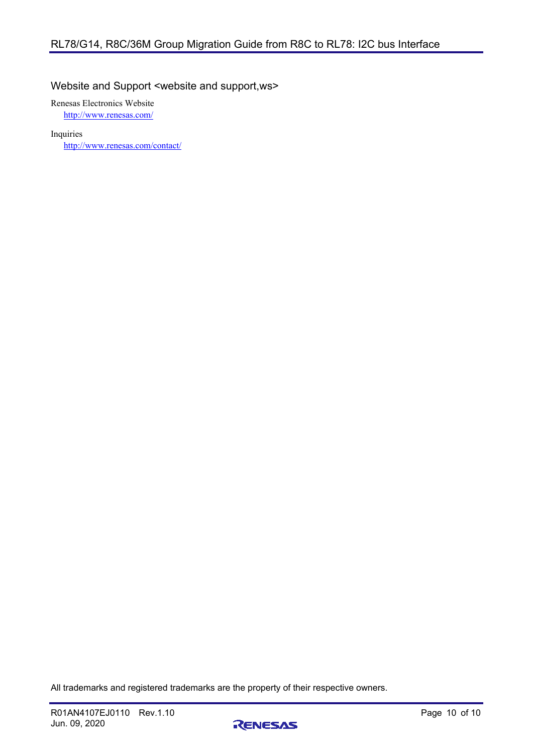## Website and Support <website and support,ws>

Renesas Electronics Website

<http://www.renesas.com/>

Inquiries

<http://www.renesas.com/contact/>

All trademarks and registered trademarks are the property of their respective owners.

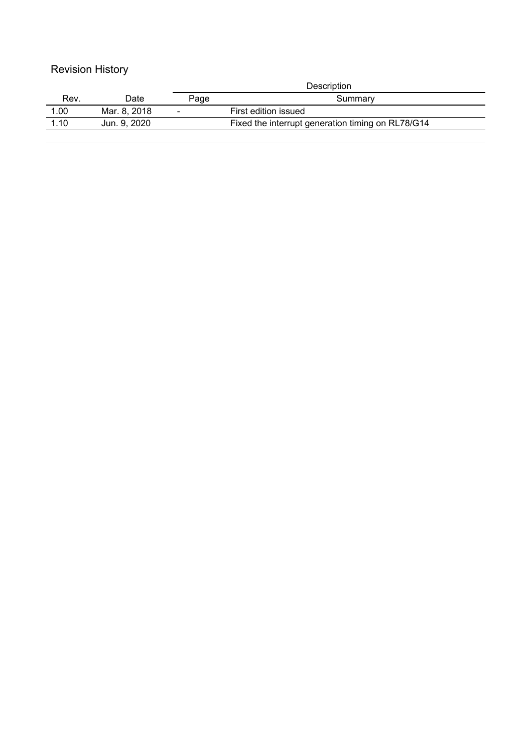## Revision History

|      |              | Description    |                                                   |
|------|--------------|----------------|---------------------------------------------------|
| Rev. | Date         | Page           | Summary                                           |
| 1.00 | Mar. 8. 2018 | $\blacksquare$ | First edition issued                              |
| 1.10 | Jun. 9. 2020 |                | Fixed the interrupt generation timing on RL78/G14 |
|      |              |                |                                                   |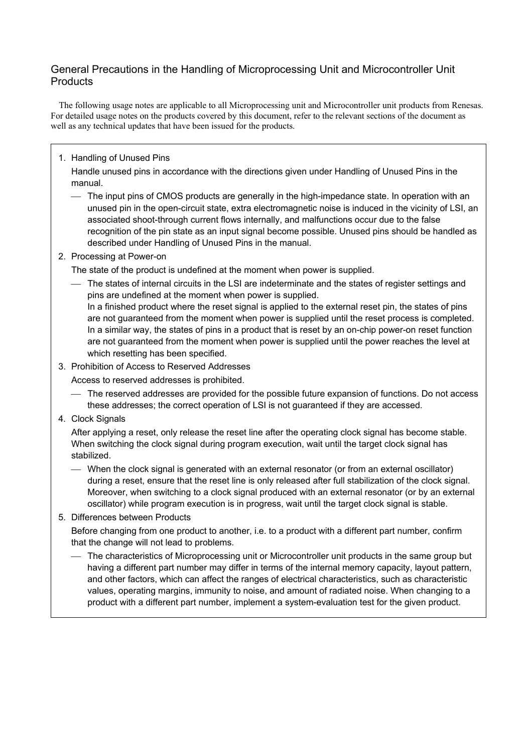## General Precautions in the Handling of Microprocessing Unit and Microcontroller Unit **Products**

The following usage notes are applicable to all Microprocessing unit and Microcontroller unit products from Renesas. For detailed usage notes on the products covered by this document, refer to the relevant sections of the document as well as any technical updates that have been issued for the products.

## 1. Handling of Unused Pins

Handle unused pins in accordance with the directions given under Handling of Unused Pins in the manual.

- The input pins of CMOS products are generally in the high-impedance state. In operation with an unused pin in the open-circuit state, extra electromagnetic noise is induced in the vicinity of LSI, an associated shoot-through current flows internally, and malfunctions occur due to the false recognition of the pin state as an input signal become possible. Unused pins should be handled as described under Handling of Unused Pins in the manual.
- 2. Processing at Power-on

The state of the product is undefined at the moment when power is supplied.

 The states of internal circuits in the LSI are indeterminate and the states of register settings and pins are undefined at the moment when power is supplied. In a finished product where the reset signal is applied to the external reset pin, the states of pins

are not guaranteed from the moment when power is supplied until the reset process is completed. In a similar way, the states of pins in a product that is reset by an on-chip power-on reset function are not guaranteed from the moment when power is supplied until the power reaches the level at which resetting has been specified.

3. Prohibition of Access to Reserved Addresses

Access to reserved addresses is prohibited.

- The reserved addresses are provided for the possible future expansion of functions. Do not access these addresses; the correct operation of LSI is not guaranteed if they are accessed.
- 4. Clock Signals

After applying a reset, only release the reset line after the operating clock signal has become stable. When switching the clock signal during program execution, wait until the target clock signal has stabilized.

 When the clock signal is generated with an external resonator (or from an external oscillator) during a reset, ensure that the reset line is only released after full stabilization of the clock signal. Moreover, when switching to a clock signal produced with an external resonator (or by an external oscillator) while program execution is in progress, wait until the target clock signal is stable.

## 5. Differences between Products

Before changing from one product to another, i.e. to a product with a different part number, confirm that the change will not lead to problems.

 The characteristics of Microprocessing unit or Microcontroller unit products in the same group but having a different part number may differ in terms of the internal memory capacity, layout pattern, and other factors, which can affect the ranges of electrical characteristics, such as characteristic values, operating margins, immunity to noise, and amount of radiated noise. When changing to a product with a different part number, implement a system-evaluation test for the given product.